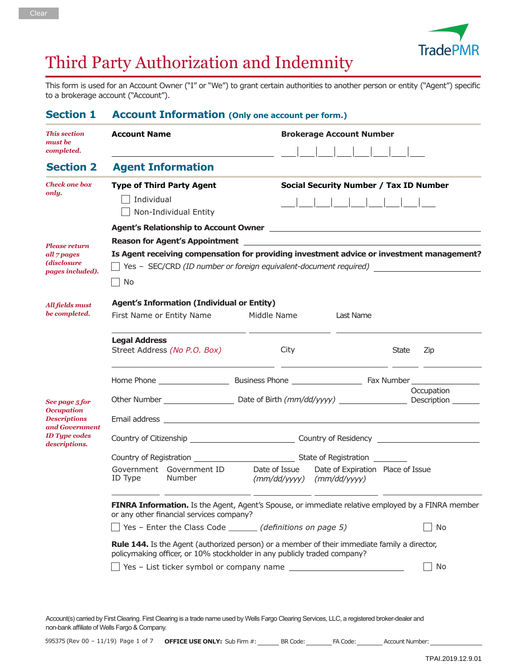

# Third Party Authorization and Indemnity

This form is used for an Account Owner ("I" or "We") to grant certain authorities to another person or entity ("Agent") specific to a brokerage account ("Account").

| <b>Section 1</b>                                                                                                      | <b>Account Information (Only one account per form.)</b>                                                                                                                                                                                                                                     |                                                                  |                                               |  |  |  |  |
|-----------------------------------------------------------------------------------------------------------------------|---------------------------------------------------------------------------------------------------------------------------------------------------------------------------------------------------------------------------------------------------------------------------------------------|------------------------------------------------------------------|-----------------------------------------------|--|--|--|--|
| <b>This section</b><br>must be<br>completed.                                                                          | <b>Account Name</b>                                                                                                                                                                                                                                                                         |                                                                  | <b>Brokerage Account Number</b>               |  |  |  |  |
| <b>Section 2</b>                                                                                                      | <b>Agent Information</b>                                                                                                                                                                                                                                                                    |                                                                  |                                               |  |  |  |  |
| <b>Check one box</b><br>only.                                                                                         | <b>Type of Third Party Agent</b><br>Individual<br>Non-Individual Entity                                                                                                                                                                                                                     |                                                                  | <b>Social Security Number / Tax ID Number</b> |  |  |  |  |
| <b>Please return</b><br>all 7 pages<br>(disclosure<br><i>pages included).</i>                                         | Agent's Relationship to Account Owner [1982] [2012] [2013] [2013] [2013] [2014] [2014] [2014] [2014] [2014] [20<br>Is Agent receiving compensation for providing investment advice or investment management?<br>□ Yes - SEC/CRD (ID number or foreign equivalent-document required)<br>  No |                                                                  |                                               |  |  |  |  |
| <b>All fields must</b><br>be completed.                                                                               | <b>Agent's Information (Individual or Entity)</b><br>First Name or Entity Name                                                                                                                                                                                                              | Middle Name<br>Last Name                                         |                                               |  |  |  |  |
|                                                                                                                       | <b>Legal Address</b><br>Street Address (No P.O. Box)                                                                                                                                                                                                                                        | City                                                             | State<br>Zip                                  |  |  |  |  |
|                                                                                                                       |                                                                                                                                                                                                                                                                                             |                                                                  |                                               |  |  |  |  |
| See page 5 for<br><b>Occupation</b><br><b>Descriptions</b><br>and Government<br><b>ID</b> Tupe codes<br>descriptions. |                                                                                                                                                                                                                                                                                             |                                                                  | Occupation                                    |  |  |  |  |
|                                                                                                                       |                                                                                                                                                                                                                                                                                             |                                                                  |                                               |  |  |  |  |
|                                                                                                                       | State of Registration                                                                                                                                                                                                                                                                       |                                                                  |                                               |  |  |  |  |
|                                                                                                                       | Government Government ID<br>ID Type<br>Number                                                                                                                                                                                                                                               | Date of Issue<br>$(mm/dd/yyyy)$ $(mm/dd/yyyy)$                   | Date of Expiration Place of Issue             |  |  |  |  |
|                                                                                                                       | FINRA Information. Is the Agent, Agent's Spouse, or immediate relative employed by a FINRA member<br>or any other financial services company?                                                                                                                                               |                                                                  |                                               |  |  |  |  |
|                                                                                                                       |                                                                                                                                                                                                                                                                                             | $\Box$ Yes - Enter the Class Code $\Box$ (definitions on page 5) | No                                            |  |  |  |  |
|                                                                                                                       | <b>Rule 144.</b> Is the Agent (authorized person) or a member of their immediate family a director,<br>policymaking officer, or 10% stockholder in any publicly traded company?                                                                                                             |                                                                  |                                               |  |  |  |  |
|                                                                                                                       |                                                                                                                                                                                                                                                                                             |                                                                  |                                               |  |  |  |  |

Account(s) carried by First Clearing. First Clearing is a trade name used by Wells Fargo Clearing Services, LLC, a registered broker-dealer and non-bank affiliate of Wells Fargo & Company.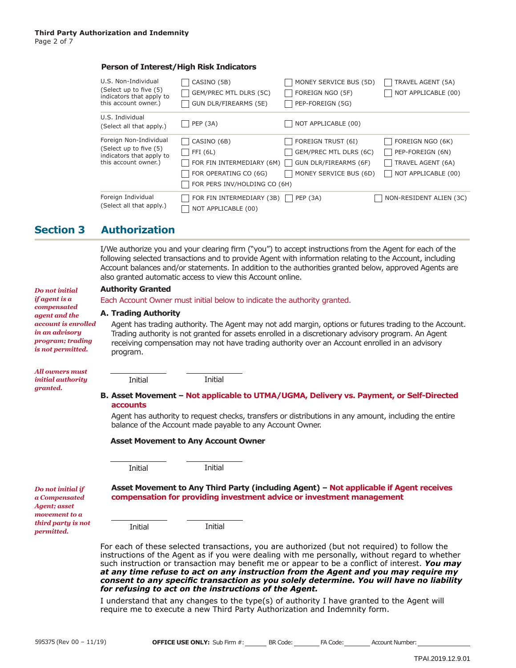### **Person of Interest/High Risk Indicators**

| U.S. Non-Individual<br>(Select up to five (5)<br>indicators that apply to<br>this account owner.)    | CASINO (5B)<br>GEM/PREC MTL DLRS (5C)<br>GUN DLR/FIREARMS (5E)                                                  | MONEY SERVICE BUS (5D)<br>FOREIGN NGO (5F)<br>PEP-FOREIGN (5G)                                  | TRAVEL AGENT (5A)<br>NOT APPLICABLE (00)                                         |
|------------------------------------------------------------------------------------------------------|-----------------------------------------------------------------------------------------------------------------|-------------------------------------------------------------------------------------------------|----------------------------------------------------------------------------------|
| U.S. Individual<br>(Select all that apply.)                                                          | <b>PEP (3A)</b>                                                                                                 | NOT APPLICABLE (00)                                                                             |                                                                                  |
| Foreign Non-Individual<br>(Select up to five (5)<br>indicators that apply to<br>this account owner.) | CASINO (6B)<br>FFI (6L)<br>FOR FIN INTERMEDIARY (6M)  <br>FOR OPERATING CO (6G)<br>FOR PERS INV/HOLDING CO (6H) | FOREIGN TRUST (6I)<br>GEM/PREC MTL DLRS (6C)<br>GUN DLR/FIREARMS (6F)<br>MONEY SERVICE BUS (6D) | FOREIGN NGO (6K)<br>PEP-FOREIGN (6N)<br>TRAVEL AGENT (6A)<br>NOT APPLICABLE (00) |
| Foreign Individual<br>(Select all that apply.)                                                       | FOR FIN INTERMEDIARY (3B)<br>NOT APPLICABLE (00)                                                                | $\vert$ PEP (3A)                                                                                | NON-RESIDENT ALIEN (3C)                                                          |

## **Section 3 Authorization**

I/We authorize you and your clearing firm ("you") to accept instructions from the Agent for each of the following selected transactions and to provide Agent with information relating to the Account, including Account balances and/or statements. In addition to the authorities granted below, approved Agents are also granted automatic access to view this Account online.

#### **Authority Granted**

Each Account Owner must initial below to indicate the authority granted.

Initial

#### **Trading Authority A.**

Initial

Agent has trading authority. The Agent may not add margin, options or futures trading to the Account. Trading authority is not granted for assets enrolled in a discretionary advisory program. An Agent receiving compensation may not have trading authority over an Account enrolled in an advisory program.

*All owners must initial authority granted.*

*Do not initial if agent is a compensated agent and the account is enrolled in an advisory program; trading is not permitted.*

#### **Asset Movement – Not applicable to UTMA/UGMA, Delivery vs. Payment, or Self-Directed B. accounts**

Agent has authority to request checks, transfers or distributions in any amount, including the entire balance of the Account made payable to any Account Owner.

#### **Asset Movement to Any Account Owner**

Initial

Initial

*Do not initial if a Compensated Agent; asset movement to a third party is not permitted.*

**Asset Movement to Any Third Party (including Agent) – Not applicable if Agent receives compensation for providing investment advice or investment management**

Initial **Initial** 

For each of these selected transactions, you are authorized (but not required) to follow the instructions of the Agent as if you were dealing with me personally, without regard to whether such instruction or transaction may benefit me or appear to be a conflict of interest. *You may at any time refuse to act on any instruction from the Agent and you may require my consent to any specific transaction as you solely determine. You will have no liability for refusing to act on the instructions of the Agent.*

I understand that any changes to the type(s) of authority I have granted to the Agent will require me to execute a new Third Party Authorization and Indemnity form.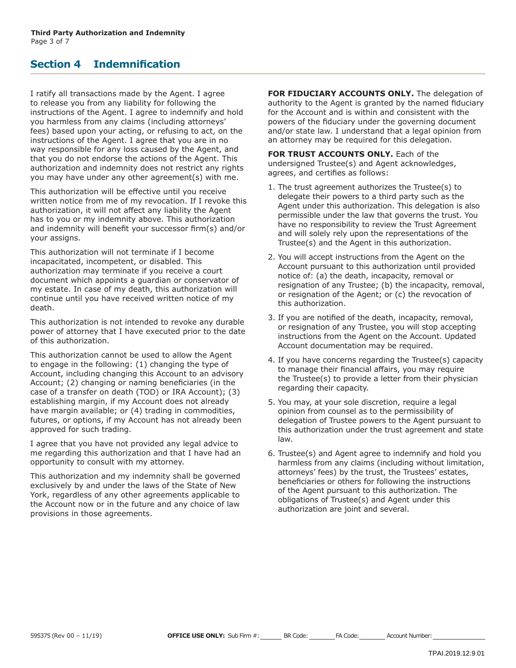## **Section 4 Indemnification**

I ratify all transactions made by the Agent. I agree to release you from any liability for following the instructions of the Agent. I agree to indemnify and hold you harmless from any claims (including attorneys' fees) based upon your acting, or refusing to act, on the instructions of the Agent. I agree that you are in no way responsible for any loss caused by the Agent, and that you do not endorse the actions of the Agent. This authorization and indemnity does not restrict any rights you may have under any other agreement(s) with me.

This authorization will be effective until you receive written notice from me of my revocation. If I revoke this authorization, it will not affect any liability the Agent has to you or my indemnity above. This authorization and indemnity will benefit your successor firm(s) and/or your assigns.

This authorization will not terminate if I become incapacitated, incompetent, or disabled. This authorization may terminate if you receive a court document which appoints a guardian or conservator of my estate. In case of my death, this authorization will continue until you have received written notice of my death.

This authorization is not intended to revoke any durable power of attorney that I have executed prior to the date of this authorization.

This authorization cannot be used to allow the Agent to engage in the following: (1) changing the type of Account, including changing this Account to an advisory Account; (2) changing or naming beneficiaries (in the case of a transfer on death (TOD) or IRA Account); (3) establishing margin, if my Account does not already have margin available; or (4) trading in commodities, futures, or options, if my Account has not already been approved for such trading.

I agree that you have not provided any legal advice to me regarding this authorization and that I have had an opportunity to consult with my attorney.

This authorization and my indemnity shall be governed exclusively by and under the laws of the State of New York, regardless of any other agreements applicable to the Account now or in the future and any choice of law provisions in those agreements.

**FOR FIDUCIARY ACCOUNTS ONLY.** The delegation of authority to the Agent is granted by the named fiduciary for the Account and is within and consistent with the powers of the fiduciary under the governing document and/or state law. I understand that a legal opinion from an attorney may be required for this delegation.

**FOR TRUST ACCOUNTS ONLY.** Each of the undersigned Trustee(s) and Agent acknowledges, agrees, and certifies as follows:

- 1. The trust agreement authorizes the Trustee(s) to delegate their powers to a third party such as the Agent under this authorization. This delegation is also permissible under the law that governs the trust. You have no responsibility to review the Trust Agreement and will solely rely upon the representations of the Trustee(s) and the Agent in this authorization.
- 2. You will accept instructions from the Agent on the Account pursuant to this authorization until provided notice of: (a) the death, incapacity, removal or resignation of any Trustee; (b) the incapacity, removal, or resignation of the Agent; or (c) the revocation of this authorization.
- 3. If you are notified of the death, incapacity, removal, or resignation of any Trustee, you will stop accepting instructions from the Agent on the Account. Updated Account documentation may be required.
- 4. If you have concerns regarding the Trustee(s) capacity to manage their financial affairs, you may require the Trustee(s) to provide a letter from their physician regarding their capacity.
- 5. You may, at your sole discretion, require a legal opinion from counsel as to the permissibility of delegation of Trustee powers to the Agent pursuant to this authorization under the trust agreement and state law.
- 6. Trustee(s) and Agent agree to indemnify and hold you harmless from any claims (including without limitation, attorneys' fees) by the trust, the Trustees' estates, beneficiaries or others for following the instructions of the Agent pursuant to this authorization. The obligations of Trustee(s) and Agent under this authorization are joint and several.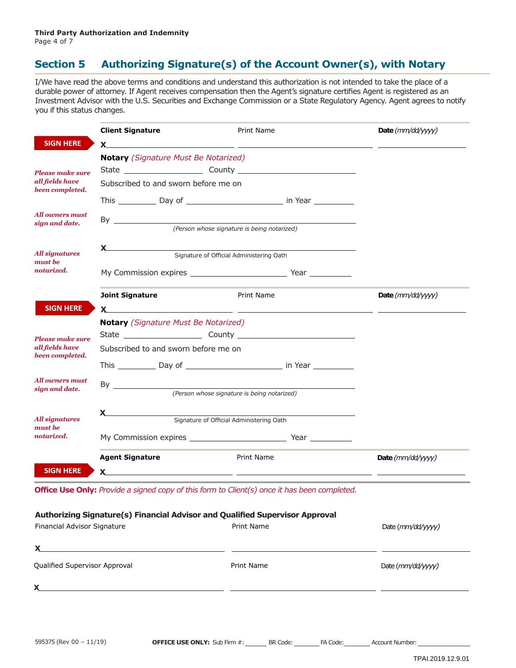# **Section 5 Authorizing Signature(s) of the Account Owner(s), with Notary**

I/We have read the above terms and conditions and understand this authorization is not intended to take the place of a durable power of attorney. If Agent receives compensation then the Agent's signature certifies Agent is registered as an Investment Advisor with the U.S. Securities and Exchange Commission or a State Regulatory Agency. Agent agrees to notify you if this status changes.

|                                                | <b>Client Signature</b>                                                                                                                                                                                                        | Print Name                                                                                                                                                                                                                    | Date $(mm/dd/yyyy)$   |  |
|------------------------------------------------|--------------------------------------------------------------------------------------------------------------------------------------------------------------------------------------------------------------------------------|-------------------------------------------------------------------------------------------------------------------------------------------------------------------------------------------------------------------------------|-----------------------|--|
| <b>SIGN HERE</b>                               | $x$ and $x$ and $x$ and $x$ and $x$ and $x$ and $x$ and $x$ and $x$ and $x$ and $x$ and $x$ and $x$ and $x$ and $x$ and $x$ and $x$ and $x$ and $x$ and $x$ and $x$ and $x$ and $x$ and $x$ and $x$ and $x$ and $x$ and $x$ a  |                                                                                                                                                                                                                               |                       |  |
|                                                | <b>Notary</b> (Signature Must Be Notarized)                                                                                                                                                                                    |                                                                                                                                                                                                                               |                       |  |
| <b>Please make sure</b>                        |                                                                                                                                                                                                                                |                                                                                                                                                                                                                               |                       |  |
| all fields have<br>been completed.             |                                                                                                                                                                                                                                | Subscribed to and sworn before me on                                                                                                                                                                                          |                       |  |
|                                                |                                                                                                                                                                                                                                |                                                                                                                                                                                                                               |                       |  |
| All owners must                                |                                                                                                                                                                                                                                |                                                                                                                                                                                                                               |                       |  |
| sign and date.                                 |                                                                                                                                                                                                                                | (Person whose signature is being notarized)                                                                                                                                                                                   |                       |  |
|                                                | $x \sim$                                                                                                                                                                                                                       |                                                                                                                                                                                                                               |                       |  |
| <b>All signatures</b><br>must be               |                                                                                                                                                                                                                                | Signature of Official Administering Oath                                                                                                                                                                                      |                       |  |
| notarized.                                     |                                                                                                                                                                                                                                |                                                                                                                                                                                                                               |                       |  |
|                                                | <b>Joint Signature</b>                                                                                                                                                                                                         | Print Name                                                                                                                                                                                                                    | Date ( $mm/dd/yyyy$ ) |  |
| <b>SIGN HERE</b>                               |                                                                                                                                                                                                                                | $x$ and $x$ and $x$ and $x$ and $x$ and $x$ and $x$ and $x$ and $x$ and $x$ and $x$ and $x$ and $x$ and $x$ and $x$ and $x$ and $x$ and $x$ and $x$ and $x$ and $x$ and $x$ and $x$ and $x$ and $x$ and $x$ and $x$ and $x$ a |                       |  |
|                                                | <b>Notary</b> (Signature Must Be Notarized)                                                                                                                                                                                    |                                                                                                                                                                                                                               |                       |  |
| <b>Please make sure</b>                        |                                                                                                                                                                                                                                |                                                                                                                                                                                                                               |                       |  |
| all fields have<br>been completed.             | Subscribed to and sworn before me on                                                                                                                                                                                           |                                                                                                                                                                                                                               |                       |  |
|                                                |                                                                                                                                                                                                                                |                                                                                                                                                                                                                               |                       |  |
| All owners must<br>sign and date.              |                                                                                                                                                                                                                                |                                                                                                                                                                                                                               |                       |  |
|                                                | (Person whose signature is being notarized)                                                                                                                                                                                    |                                                                                                                                                                                                                               |                       |  |
| <b>All signatures</b><br>must be<br>notarized. | $x$ and the set of $x$ and $x$ and $x$ and $x$ and $x$ and $x$ and $x$ and $x$ and $x$ and $x$ and $x$ and $x$ and $x$ and $x$ and $x$ and $x$ and $x$ and $x$ and $x$ and $x$ and $x$ and $x$ and $x$ and $x$ and $x$ and $x$ | Signature of Official Administering Oath                                                                                                                                                                                      |                       |  |
|                                                |                                                                                                                                                                                                                                |                                                                                                                                                                                                                               |                       |  |
|                                                |                                                                                                                                                                                                                                |                                                                                                                                                                                                                               |                       |  |
|                                                | <b>Agent Signature</b>                                                                                                                                                                                                         | Print Name                                                                                                                                                                                                                    | Date ( $mm/dd/yyyy$ ) |  |
| <b>SIGN HERE</b>                               |                                                                                                                                                                                                                                |                                                                                                                                                                                                                               |                       |  |

| Financial Advisor Signature   | Print Name | Date ( <i>mm/dd/yyyy)</i> |  |
|-------------------------------|------------|---------------------------|--|
| X                             |            |                           |  |
| Qualified Supervisor Approval | Print Name | Date (mm/dd/yyyy)         |  |
| X                             |            |                           |  |
|                               |            |                           |  |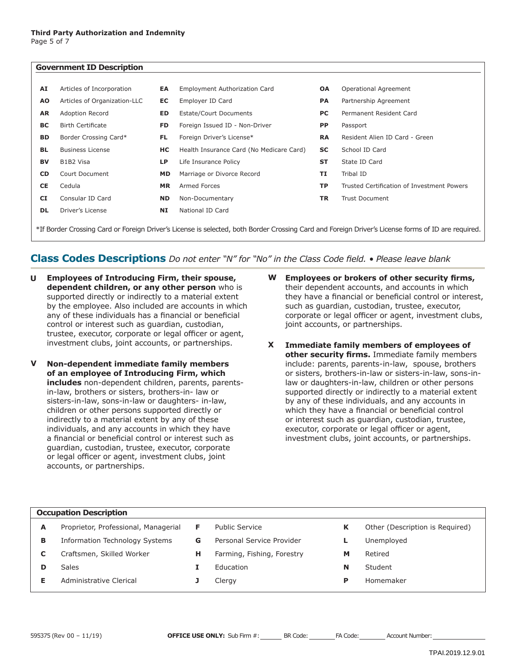| <b>Government ID Description</b>                                                                                                                   |                              |           |                                          |           |                                            |
|----------------------------------------------------------------------------------------------------------------------------------------------------|------------------------------|-----------|------------------------------------------|-----------|--------------------------------------------|
| AI                                                                                                                                                 | Articles of Incorporation    | EA        | <b>Employment Authorization Card</b>     | <b>OA</b> | Operational Agreement                      |
| <b>AO</b>                                                                                                                                          | Articles of Organization-LLC | EC        | Employer ID Card                         | PA        | Partnership Agreement                      |
| AR                                                                                                                                                 | <b>Adoption Record</b>       | ED        | Estate/Court Documents                   | PC        | Permanent Resident Card                    |
| ВC                                                                                                                                                 | <b>Birth Certificate</b>     | FD        | Foreign Issued ID - Non-Driver           | <b>PP</b> | Passport                                   |
| BD                                                                                                                                                 | Border Crossing Card*        | FL.       | Foreign Driver's License*                | <b>RA</b> | Resident Alien ID Card - Green             |
| <b>BL</b>                                                                                                                                          | <b>Business License</b>      | HС        | Health Insurance Card (No Medicare Card) | SC        | School ID Card                             |
| <b>BV</b>                                                                                                                                          | B1B2 Visa                    | <b>LP</b> | Life Insurance Policy                    | <b>ST</b> | State ID Card                              |
| <b>CD</b>                                                                                                                                          | Court Document               | <b>MD</b> | Marriage or Divorce Record               | TI        | Tribal ID                                  |
| CE                                                                                                                                                 | Cedula                       | <b>MR</b> | Armed Forces                             | <b>TP</b> | Trusted Certification of Investment Powers |
| <b>CI</b>                                                                                                                                          | Consular ID Card             | <b>ND</b> | Non-Documentary                          | TR        | <b>Trust Document</b>                      |
| <b>DL</b>                                                                                                                                          | Driver's License             | NI        | National ID Card                         |           |                                            |
| *If Border Crossing Card or Foreign Driver's License is selected, both Border Crossing Card and Foreign Driver's License forms of ID are required. |                              |           |                                          |           |                                            |

## **Class Codes Descriptions** *Do not enter "N" for "No" in the Class Code field. • Please leave blank*

- **Employees of Introducing Firm, their spouse, dependent children, or any other person** who is supported directly or indirectly to a material extent by the employee. Also included are accounts in which any of these individuals has a financial or beneficial control or interest such as guardian, custodian, trustee, executor, corporate or legal officer or agent, investment clubs, joint accounts, or partnerships. **U**
- **Non-dependent immediate family members of an employee of Introducing Firm, which includes** non-dependent children, parents, parentsin-law, brothers or sisters, brothers-in- law or sisters-in-law, sons-in-law or daughters- in-law, children or other persons supported directly or indirectly to a material extent by any of these individuals, and any accounts in which they have a financial or beneficial control or interest such as guardian, custodian, trustee, executor, corporate or legal officer or agent, investment clubs, joint accounts, or partnerships. **V**
- **Employees or brokers of other security firms,** their dependent accounts, and accounts in which they have a financial or beneficial control or interest, such as guardian, custodian, trustee, executor, corporate or legal officer or agent, investment clubs, joint accounts, or partnerships. **W**
- **Immediate family members of employees of other security firms.** Immediate family members include: parents, parents-in-law, spouse, brothers or sisters, brothers-in-law or sisters-in-law, sons-inlaw or daughters-in-law, children or other persons supported directly or indirectly to a material extent by any of these individuals, and any accounts in which they have a financial or beneficial control or interest such as guardian, custodian, trustee, executor, corporate or legal officer or agent, investment clubs, joint accounts, or partnerships. **X**

# **Occupation Description**

**A** Proprietor, Professional, Managerial **F** Public Service **K** Other (Description is Required) **B** Information Technology Systems **G** Personal Service Provider **L** Unemployed **C** Craftsmen, Skilled Worker **H** Farming, Fishing, Forestry **M** Retired **D** Sales **I** Education **N** Student **E** Administrative Clerical **J** Clergy **P** Homemaker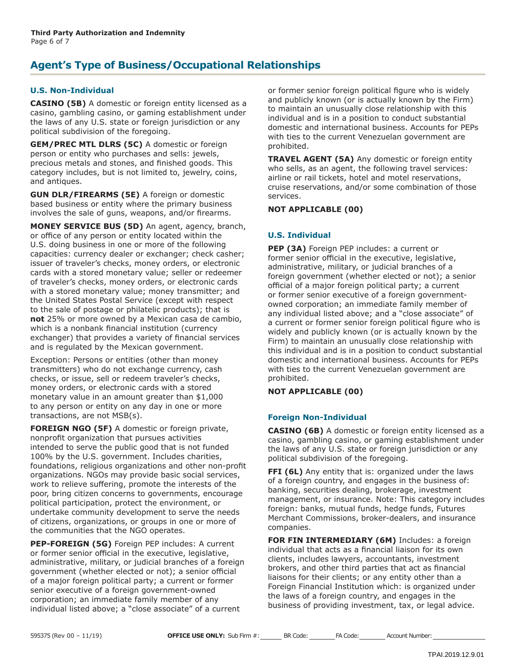## **Agent's Type of Business/Occupational Relationships**

## **U.S. Non-Individual**

**CASINO (5B)** A domestic or foreign entity licensed as a casino, gambling casino, or gaming establishment under the laws of any U.S. state or foreign jurisdiction or any political subdivision of the foregoing.

**GEM/PREC MTL DLRS (5C)** A domestic or foreign person or entity who purchases and sells: jewels, precious metals and stones, and finished goods. This category includes, but is not limited to, jewelry, coins, and antiques.

**GUN DLR/FIREARMS (5E)** A foreign or domestic based business or entity where the primary business involves the sale of guns, weapons, and/or firearms.

**MONEY SERVICE BUS (5D)** An agent, agency, branch, or office of any person or entity located within the U.S. doing business in one or more of the following capacities: currency dealer or exchanger; check casher; issuer of traveler's checks, money orders, or electronic cards with a stored monetary value; seller or redeemer of traveler's checks, money orders, or electronic cards with a stored monetary value; money transmitter; and the United States Postal Service (except with respect to the sale of postage or philatelic products); that is **not** 25% or more owned by a Mexican casa de cambio, which is a nonbank financial institution (currency exchanger) that provides a variety of financial services and is regulated by the Mexican government.

Exception: Persons or entities (other than money transmitters) who do not exchange currency, cash checks, or issue, sell or redeem traveler's checks, money orders, or electronic cards with a stored monetary value in an amount greater than \$1,000 to any person or entity on any day in one or more transactions, are not MSB(s).

**FOREIGN NGO (5F)** A domestic or foreign private, nonprofit organization that pursues activities intended to serve the public good that is not funded 100% by the U.S. government. Includes charities, foundations, religious organizations and other non-profit organizations. NGOs may provide basic social services, work to relieve suffering, promote the interests of the poor, bring citizen concerns to governments, encourage political participation, protect the environment, or undertake community development to serve the needs of citizens, organizations, or groups in one or more of the communities that the NGO operates.

**PEP-FOREIGN (5G)** Foreign PEP includes: A current or former senior official in the executive, legislative, administrative, military, or judicial branches of a foreign government (whether elected or not); a senior official of a major foreign political party; a current or former senior executive of a foreign government-owned corporation; an immediate family member of any individual listed above; a "close associate" of a current

or former senior foreign political figure who is widely and publicly known (or is actually known by the Firm) to maintain an unusually close relationship with this individual and is in a position to conduct substantial domestic and international business. Accounts for PEPs with ties to the current Venezuelan government are prohibited.

**TRAVEL AGENT (5A)** Any domestic or foreign entity who sells, as an agent, the following travel services: airline or rail tickets, hotel and motel reservations, cruise reservations, and/or some combination of those services.

**NOT APPLICABLE (00)**

## **U.S. Individual**

**PEP (3A)** Foreign PEP includes: a current or former senior official in the executive, legislative, administrative, military, or judicial branches of a foreign government (whether elected or not); a senior official of a major foreign political party; a current or former senior executive of a foreign governmentowned corporation; an immediate family member of any individual listed above; and a "close associate" of a current or former senior foreign political figure who is widely and publicly known (or is actually known by the Firm) to maintain an unusually close relationship with this individual and is in a position to conduct substantial domestic and international business. Accounts for PEPs with ties to the current Venezuelan government are prohibited.

**NOT APPLICABLE (00)**

## **Foreign Non-Individual**

**CASINO (6B)** A domestic or foreign entity licensed as a casino, gambling casino, or gaming establishment under the laws of any U.S. state or foreign jurisdiction or any political subdivision of the foregoing.

**FFI (6L)** Any entity that is: organized under the laws of a foreign country, and engages in the business of: banking, securities dealing, brokerage, investment management, or insurance. Note: This category includes foreign: banks, mutual funds, hedge funds, Futures Merchant Commissions, broker-dealers, and insurance companies.

**FOR FIN INTERMEDIARY (6M)** Includes: a foreign individual that acts as a financial liaison for its own clients, includes lawyers, accountants, investment brokers, and other third parties that act as financial liaisons for their clients; or any entity other than a Foreign Financial Institution which: is organized under the laws of a foreign country, and engages in the business of providing investment, tax, or legal advice.